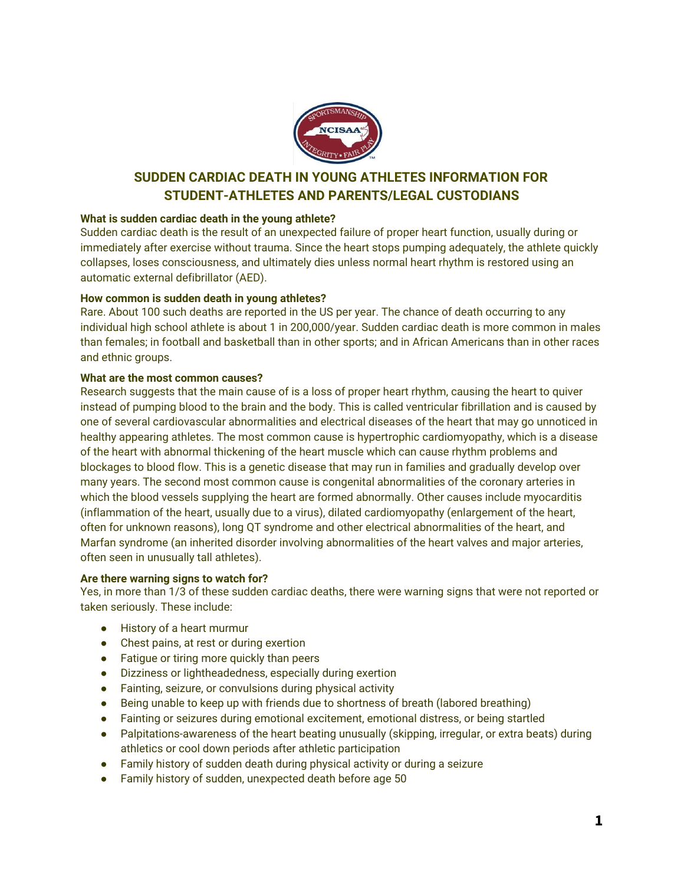

# **SUDDEN CARDIAC DEATH IN YOUNG ATHLETES INFORMATION FOR STUDENT-ATHLETES AND PARENTS/LEGAL CUSTODIANS**

# **What is sudden cardiac death in the young athlete?**

Sudden cardiac death is the result of an unexpected failure of proper heart function, usually during or immediately after exercise without trauma. Since the heart stops pumping adequately, the athlete quickly collapses, loses consciousness, and ultimately dies unless normal heart rhythm is restored using an automatic external defibrillator (AED).

#### **How common is sudden death in young athletes?**

Rare. About 100 such deaths are reported in the US per year. The chance of death occurring to any individual high school athlete is about 1 in 200,000/year. Sudden cardiac death is more common in males than females; in football and basketball than in other sports; and in African Americans than in other races and ethnic groups.

## **What are the most common causes?**

Research suggests that the main cause of is a loss of proper heart rhythm, causing the heart to quiver instead of pumping blood to the brain and the body. This is called ventricular fibrillation and is caused by one of several cardiovascular abnormalities and electrical diseases of the heart that may go unnoticed in healthy appearing athletes. The most common cause is hypertrophic cardiomyopathy, which is a disease of the heart with abnormal thickening of the heart muscle which can cause rhythm problems and blockages to blood flow. This is a genetic disease that may run in families and gradually develop over many years. The second most common cause is congenital abnormalities of the coronary arteries in which the blood vessels supplying the heart are formed abnormally. Other causes include myocarditis (inflammation of the heart, usually due to a virus), dilated cardiomyopathy (enlargement of the heart, often for unknown reasons), long QT syndrome and other electrical abnormalities of the heart, and Marfan syndrome (an inherited disorder involving abnormalities of the heart valves and major arteries, often seen in unusually tall athletes).

#### **Are there warning signs to watch for?**

Yes, in more than 1/3 of these sudden cardiac deaths, there were warning signs that were not reported or taken seriously. These include:

- History of a heart murmur
- Chest pains, at rest or during exertion
- Fatigue or tiring more quickly than peers
- Dizziness or lightheadedness, especially during exertion
- Fainting, seizure, or convulsions during physical activity
- Being unable to keep up with friends due to shortness of breath (labored breathing)
- Fainting or seizures during emotional excitement, emotional distress, or being startled
- Palpitations-awareness of the heart beating unusually (skipping, irregular, or extra beats) during athletics or cool down periods after athletic participation
- Family history of sudden death during physical activity or during a seizure
- Family history of sudden, unexpected death before age 50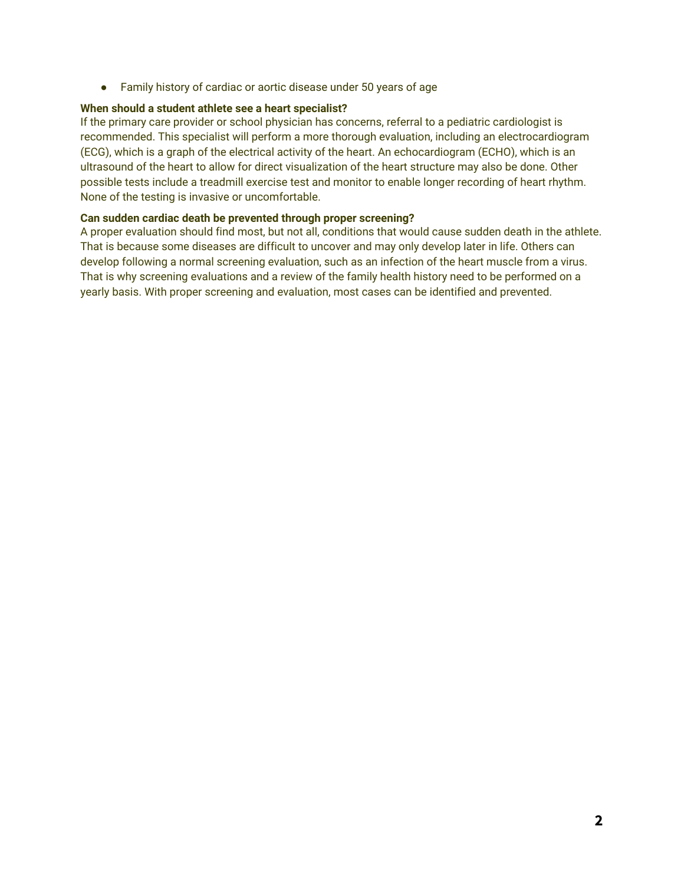● Family history of cardiac or aortic disease under 50 years of age

#### **When should a student athlete see a heart specialist?**

If the primary care provider or school physician has concerns, referral to a pediatric cardiologist is recommended. This specialist will perform a more thorough evaluation, including an electrocardiogram (ECG), which is a graph of the electrical activity of the heart. An echocardiogram (ECHO), which is an ultrasound of the heart to allow for direct visualization of the heart structure may also be done. Other possible tests include a treadmill exercise test and monitor to enable longer recording of heart rhythm. None of the testing is invasive or uncomfortable.

## **Can sudden cardiac death be prevented through proper screening?**

A proper evaluation should find most, but not all, conditions that would cause sudden death in the athlete. That is because some diseases are difficult to uncover and may only develop later in life. Others can develop following a normal screening evaluation, such as an infection of the heart muscle from a virus. That is why screening evaluations and a review of the family health history need to be performed on a yearly basis. With proper screening and evaluation, most cases can be identified and prevented.